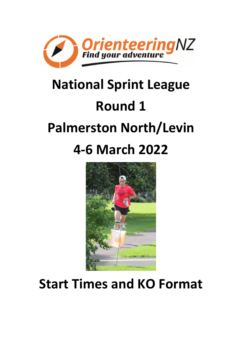

# **National Sprint League Round 1 Palmerston North/Levin 4-6 March 2022**



## **Start Times and KO Format**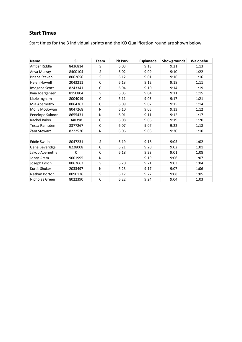### **Start Times**

Start times for the 3 individual sprints and the KO Qualification round are shown below.

| <b>Name</b>         | <b>SI</b> | <b>Team</b>  | <b>Pit Park</b> | Esplanade | Showgrounds | Waiopehu |
|---------------------|-----------|--------------|-----------------|-----------|-------------|----------|
| Amber Riddle        | 8436814   | S            | 6:03            | 9:13      | 9:21        | 1:13     |
| Anya Murray         | 8400104   | S            | 6:02            | 9:09      | 9:10        | 1:22     |
| Briana Steven       | 8062656   | S            | 6:12            | 9:01      | 9:16        | 1:16     |
| <b>Helen Howell</b> | 2043211   | $\mathsf C$  | 6:13            | 9:12      | 9:18        | 1:11     |
| Imogene Scott       | 8243341   | $\mathsf{C}$ | 6:04            | 9:10      | 9:14        | 1:19     |
| Kaia Joergensen     | 8150804   | S            | 6:05            | 9:04      | 9:11        | 1:15     |
| Lizzie Ingham       | 8004019   | $\mathsf{C}$ | 6:11            | 9:03      | 9:17        | 1:21     |
| Mia Abernethy       | 8064367   | $\mathsf{C}$ | 6:09            | 9:02      | 9:15        | 1:14     |
| Molly McGowan       | 8047268   | N            | 6:10            | 9:05      | 9:13        | 1:12     |
| Penelope Salmon     | 8655431   | N            | 6:01            | 9:11      | 9:12        | 1:17     |
| Rachel Baker        | 340398    | $\mathsf{C}$ | 6:08            | 9:06      | 9:19        | 1:20     |
| Tessa Ramsden       | 8377267   | $\mathsf{C}$ | 6:07            | 9:07      | 9:22        | 1:18     |
| Zara Stewart        | 8222520   | N            | 6:06            | 9:08      | 9:20        | 1:10     |
|                     |           |              |                 |           |             |          |
| <b>Eddie Swain</b>  | 8047231   | S            | 6:19            | 9:18      | 9:05        | 1:02     |
| Gene Beveridge      | 8228008   | $\mathsf{C}$ | 6:21            | 9:20      | 9:02        | 1:01     |
| Jakob Abernethy     | 0         | $\mathsf{C}$ | 6:18            | 9:23      | 9:01        | 1:08     |
| Jonty Oram          | 9001995   | N            |                 | 9:19      | 9:06        | 1:07     |
| Joseph Lynch        | 8062663   | S            | 6:20            | 9:21      | 9:03        | 1:04     |
| Kurtis Shuker       | 2033497   | N            | 6:23            | 9:17      | 9:07        | 1:06     |
| Nathan Borton       | 8090136   | S            | 6:17            | 9:22      | 9:08        | 1:05     |
| Nicholas Green      | 8022390   | $\mathsf{C}$ | 6:22            | 9:24      | 9:04        | 1:03     |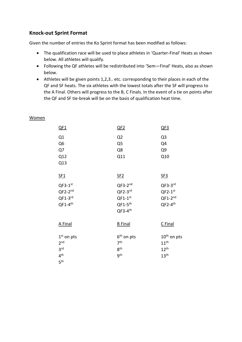#### **Knock-out Sprint Format**

Given the number of entries the Ko Sprint format has been modified as follows:

- The qualification race will be used to place athletes in 'Quarter-Final' Heats as shown below. All athletes will qualify.
- Following the QF athletes will be redistributed into 'Sem—Final' Heats, also as shown below.
- Athletes will be given points 1,2,3.. etc. corresponding to their places in each of the QF and SF heats. The six athletes with the lowest totals after the SF will progress to the A Final. Others will progress to the B, C Finals. In the event of a tie on points after the QF and SF tie-break will be on the basis of qualification heat time.

| <u>QF1</u>                                                                               | QF2                                                                        | QF3                                                                                 |
|------------------------------------------------------------------------------------------|----------------------------------------------------------------------------|-------------------------------------------------------------------------------------|
| Q1<br>Q <sub>6</sub><br>Q7<br>Q12<br>Q13                                                 | Q2<br>Q <sub>5</sub><br>Q8<br>Q11                                          | Q <sub>3</sub><br>Q4<br>Q9<br>Q10                                                   |
| SE1                                                                                      | SE2                                                                        | SE3                                                                                 |
| $QF3-1^{st}$<br>$QF2-2^{nd}$<br>$QF1-3^{rd}$<br>$QF1-4$ <sup>th</sup>                    | $QF3-2^{nd}$<br>$QF2-3^{rd}$<br>$QF1-1^{st}$<br>$QF1-5th$<br>$QF3-4th$     | $QF3-3rd$<br>$QF2-1^{st}$<br>$QF1-2^{nd}$<br>$QF2-4th$                              |
| A Final                                                                                  | <b>B</b> Final                                                             | C Final                                                                             |
| $1st$ on pts<br>2 <sub>nd</sub><br>3 <sup>rd</sup><br>4 <sup>th</sup><br>5 <sup>th</sup> | 6 <sup>th</sup> on pts<br>7 <sup>th</sup><br>8 <sup>th</sup><br><b>gth</b> | 10 <sup>th</sup> on pts<br>$11^{\text{th}}$<br>$12^{\text{th}}$<br>13 <sup>th</sup> |

#### **Women**